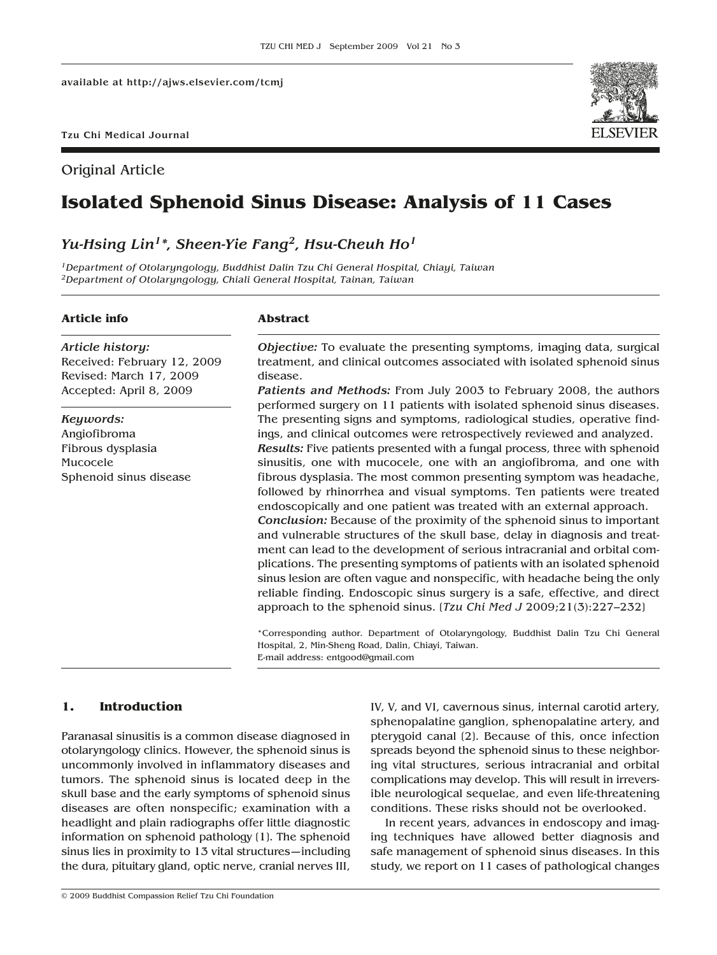Original Article



# **Isolated Sphenoid Sinus Disease: Analysis of 11 Cases**

## *Yu-Hsing Lin1\*, Sheen-Yie Fang2, Hsu-Cheuh Ho1*

*1Department of Otolaryngology, Buddhist Dalin Tzu Chi General Hospital, Chiayi, Taiwan 2Department of Otolaryngology, Chiali General Hospital, Tainan, Taiwan*

## **Article info**

*Article history:* Received: February 12, 2009 Revised: March 17, 2009 Accepted: April 8, 2009

*Keywords:* Angiofibroma Fibrous dysplasia Mucocele Sphenoid sinus disease

## **Abstract**

*Objective:* To evaluate the presenting symptoms, imaging data, surgical treatment, and clinical outcomes associated with isolated sphenoid sinus disease.

*Patients and Methods:* From July 2003 to February 2008, the authors performed surgery on 11 patients with isolated sphenoid sinus diseases. The presenting signs and symptoms, radiological studies, operative findings, and clinical outcomes were retrospectively reviewed and analyzed. *Results:* Five patients presented with a fungal process, three with sphenoid sinusitis, one with mucocele, one with an angiofibroma, and one with fibrous dysplasia. The most common presenting symptom was headache, followed by rhinorrhea and visual symptoms. Ten patients were treated endoscopically and one patient was treated with an external approach. *Conclusion:* Because of the proximity of the sphenoid sinus to important and vulnerable structures of the skull base, delay in diagnosis and treatment can lead to the development of serious intracranial and orbital complications. The presenting symptoms of patients with an isolated sphenoid sinus lesion are often vague and nonspecific, with headache being the only reliable finding. Endoscopic sinus surgery is a safe, effective, and direct approach to the sphenoid sinus. [*Tzu Chi Med J* 2009;21(3):227–232]

\*Corresponding author. Department of Otolaryngology, Buddhist Dalin Tzu Chi General Hospital, 2, Min-Sheng Road, Dalin, Chiayi, Taiwan. E-mail address: entgood@gmail.com

## **1. Introduction**

Paranasal sinusitis is a common disease diagnosed in otolaryngology clinics. However, the sphenoid sinus is uncommonly involved in inflammatory diseases and tumors. The sphenoid sinus is located deep in the skull base and the early symptoms of sphenoid sinus diseases are often nonspecific; examination with a headlight and plain radiographs offer little diagnostic information on sphenoid pathology [1]. The sphenoid sinus lies in proximity to 13 vital structures—including the dura, pituitary gland, optic nerve, cranial nerves III,

IV, V, and VI, cavernous sinus, internal carotid artery, sphenopalatine ganglion, sphenopalatine artery, and pterygoid canal [2]. Because of this, once infection spreads beyond the sphenoid sinus to these neighboring vital structures, serious intracranial and orbital complications may develop. This will result in irreversible neurological sequelae, and even life-threatening conditions. These risks should not be overlooked.

In recent years, advances in endoscopy and imaging techniques have allowed better diagnosis and safe management of sphenoid sinus diseases. In this study, we report on 11 cases of pathological changes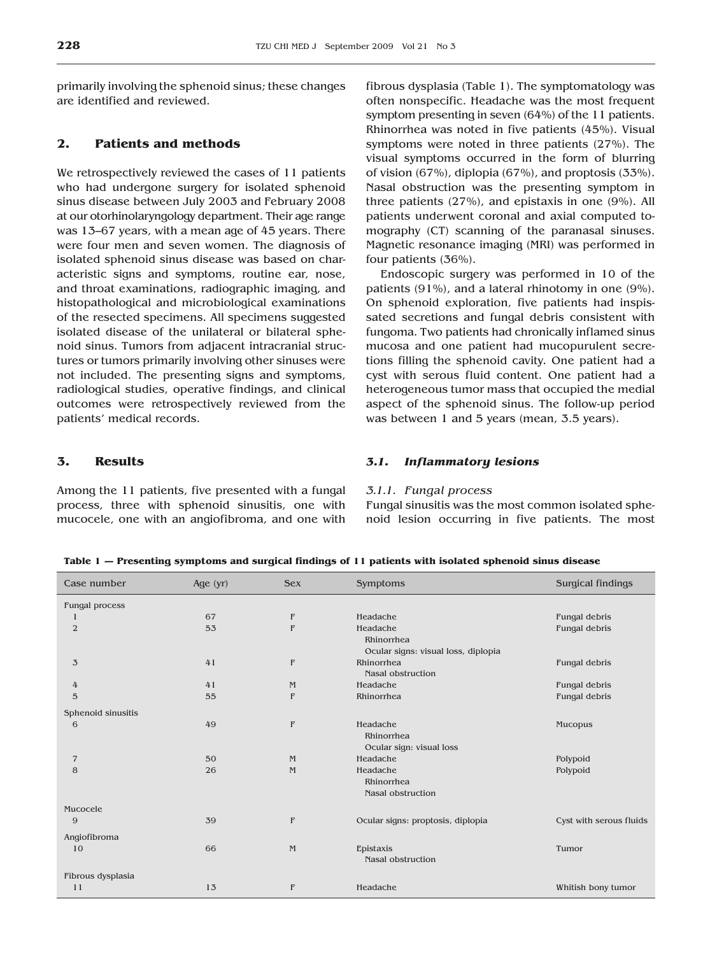primarily involving the sphenoid sinus; these changes are identified and reviewed.

## **2. Patients and methods**

We retrospectively reviewed the cases of 11 patients who had undergone surgery for isolated sphenoid sinus disease between July 2003 and February 2008 at our otorhinolaryngology department. Their age range was 13–67 years, with a mean age of 45 years. There were four men and seven women. The diagnosis of isolated sphenoid sinus disease was based on characteristic signs and symptoms, routine ear, nose, and throat examinations, radiographic imaging, and histopathological and microbiological examinations of the resected specimens. All specimens suggested isolated disease of the unilateral or bilateral sphenoid sinus. Tumors from adjacent intracranial structures or tumors primarily involving other sinuses were not included. The presenting signs and symptoms, radiological studies, operative findings, and clinical outcomes were retrospectively reviewed from the patients' medical records.

## **3. Results**

Among the 11 patients, five presented with a fungal process, three with sphenoid sinusitis, one with mucocele, one with an angiofibroma, and one with fibrous dysplasia (Table 1). The symptomatology was often nonspecific. Headache was the most frequent symptom presenting in seven (64%) of the 11 patients. Rhinorrhea was noted in five patients (45%). Visual symptoms were noted in three patients (27%). The visual symptoms occurred in the form of blurring of vision (67%), diplopia (67%), and proptosis (33%). Nasal obstruction was the presenting symptom in three patients (27%), and epistaxis in one (9%). All patients underwent coronal and axial computed tomography (CT) scanning of the paranasal sinuses. Magnetic resonance imaging (MRI) was performed in four patients (36%).

Endoscopic surgery was performed in 10 of the patients (91%), and a lateral rhinotomy in one (9%). On sphenoid exploration, five patients had inspissated secretions and fungal debris consistent with fungoma. Two patients had chronically inflamed sinus mucosa and one patient had mucopurulent secretions filling the sphenoid cavity. One patient had a cyst with serous fluid content. One patient had a heterogeneous tumor mass that occupied the medial aspect of the sphenoid sinus. The follow-up period was between 1 and 5 years (mean, 3.5 years).

#### *3.1. Inflammatory lesions*

#### *3.1.1. Fungal process*

Fungal sinusitis was the most common isolated sphenoid lesion occurring in five patients. The most

**Table 1 — Presenting symptoms and surgical findings of 11 patients with isolated sphenoid sinus disease**

| Case number        | Age $(yr)$ | <b>Sex</b>  | Symptoms                                                      | Surgical findings       |
|--------------------|------------|-------------|---------------------------------------------------------------|-------------------------|
| Fungal process     |            |             |                                                               |                         |
|                    | 67         | $\mathbb F$ | Headache                                                      | Fungal debris           |
| $\mathbf{2}$       | 53         | F           | Headache<br>Rhinorrhea<br>Ocular signs: visual loss, diplopia | Fungal debris           |
| 3                  | 41         | F           | Rhinorrhea                                                    | Fungal debris           |
|                    |            |             | <b>Nasal obstruction</b>                                      |                         |
| 4                  | 41         | M           | Headache                                                      | Fungal debris           |
| 5                  | 55         | F           | Rhinorrhea                                                    | Fungal debris           |
| Sphenoid sinusitis |            |             |                                                               |                         |
| 6                  | 49         | F           | Headache<br>Rhinorrhea<br>Ocular sign: visual loss            | Mucopus                 |
| $\overline{7}$     | 50         | M           | Headache                                                      | Polypoid                |
| 8                  | 26         | M           | Headache<br>Rhinorrhea<br><b>Nasal obstruction</b>            | Polypoid                |
| Mucocele           |            |             |                                                               |                         |
| 9                  | 39         | F           | Ocular signs: proptosis, diplopia                             | Cyst with serous fluids |
| Angiofibroma       |            |             |                                                               |                         |
| 10                 | 66         | $M_{\odot}$ | Epistaxis<br>Nasal obstruction                                | Tumor                   |
| Fibrous dysplasia  |            |             |                                                               |                         |
| 11                 | 13         | F           | Headache                                                      | Whitish bony tumor      |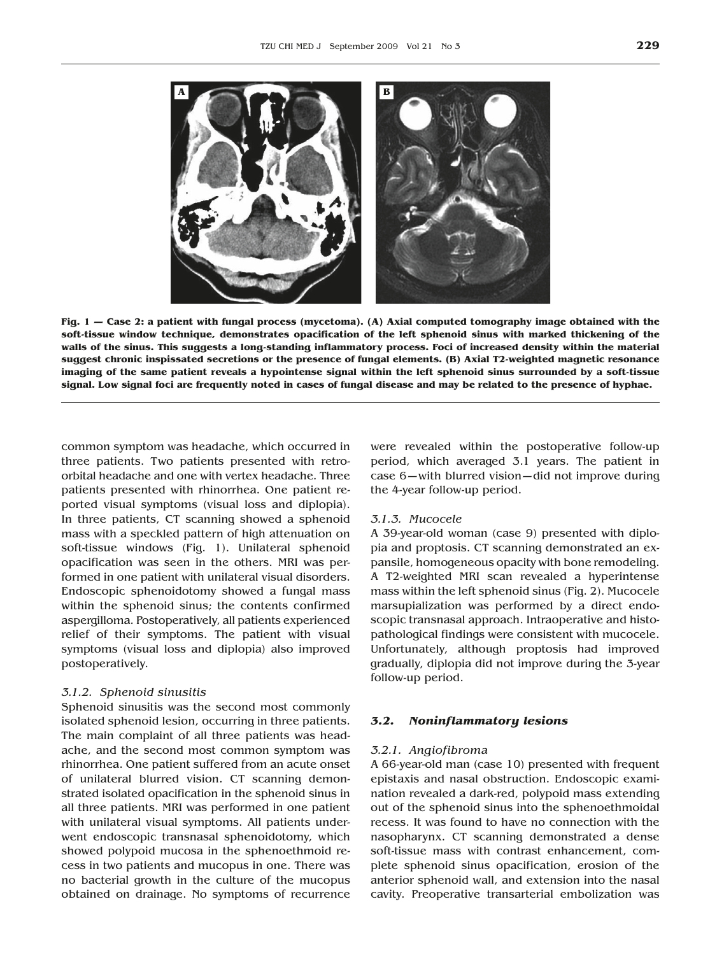

**Fig. 1 — Case 2: a patient with fungal process (mycetoma). (A) Axial computed tomography image obtained with the soft-tissue window technique, demonstrates opacification of the left sphenoid sinus with marked thickening of the walls of the sinus. This suggests a long-standing inflammatory process. Foci of increased density within the material suggest chronic inspissated secretions or the presence of fungal elements. (B) Axial T2-weighted magnetic resonance imaging of the same patient reveals a hypointense signal within the left sphenoid sinus surrounded by a soft-tissue signal. Low signal foci are frequently noted in cases of fungal disease and may be related to the presence of hyphae.**

common symptom was headache, which occurred in three patients. Two patients presented with retroorbital headache and one with vertex headache. Three patients presented with rhinorrhea. One patient reported visual symptoms (visual loss and diplopia). In three patients, CT scanning showed a sphenoid mass with a speckled pattern of high attenuation on soft-tissue windows (Fig. 1). Unilateral sphenoid opacification was seen in the others. MRI was performed in one patient with unilateral visual disorders. Endoscopic sphenoidotomy showed a fungal mass within the sphenoid sinus; the contents confirmed aspergilloma. Postoperatively, all patients experienced relief of their symptoms. The patient with visual symptoms (visual loss and diplopia) also improved postoperatively.

#### *3.1.2. Sphenoid sinusitis*

Sphenoid sinusitis was the second most commonly isolated sphenoid lesion, occurring in three patients. The main complaint of all three patients was headache, and the second most common symptom was rhinorrhea. One patient suffered from an acute onset of unilateral blurred vision. CT scanning demonstrated isolated opacification in the sphenoid sinus in all three patients. MRI was performed in one patient with unilateral visual symptoms. All patients underwent endoscopic transnasal sphenoidotomy, which showed polypoid mucosa in the sphenoethmoid recess in two patients and mucopus in one. There was no bacterial growth in the culture of the mucopus obtained on drainage. No symptoms of recurrence were revealed within the postoperative follow-up period, which averaged 3.1 years. The patient in case 6—with blurred vision—did not improve during the 4-year follow-up period.

## *3.1.3. Mucocele*

A 39-year-old woman (case 9) presented with diplopia and proptosis. CT scanning demonstrated an expansile, homogeneous opacity with bone remodeling. A T2-weighted MRI scan revealed a hyperintense mass within the left sphenoid sinus (Fig. 2). Mucocele marsupialization was performed by a direct endoscopic transnasal approach. Intraoperative and histopathological findings were consistent with mucocele. Unfortunately, although proptosis had improved gradually, diplopia did not improve during the 3-year follow-up period.

#### *3.2. Noninflammatory lesions*

#### *3.2.1. Angiofibroma*

A 66-year-old man (case 10) presented with frequent epistaxis and nasal obstruction. Endoscopic examination revealed a dark-red, polypoid mass extending out of the sphenoid sinus into the sphenoethmoidal recess. It was found to have no connection with the nasopharynx. CT scanning demonstrated a dense soft-tissue mass with contrast enhancement, complete sphenoid sinus opacification, erosion of the anterior sphenoid wall, and extension into the nasal cavity. Preoperative transarterial embolization was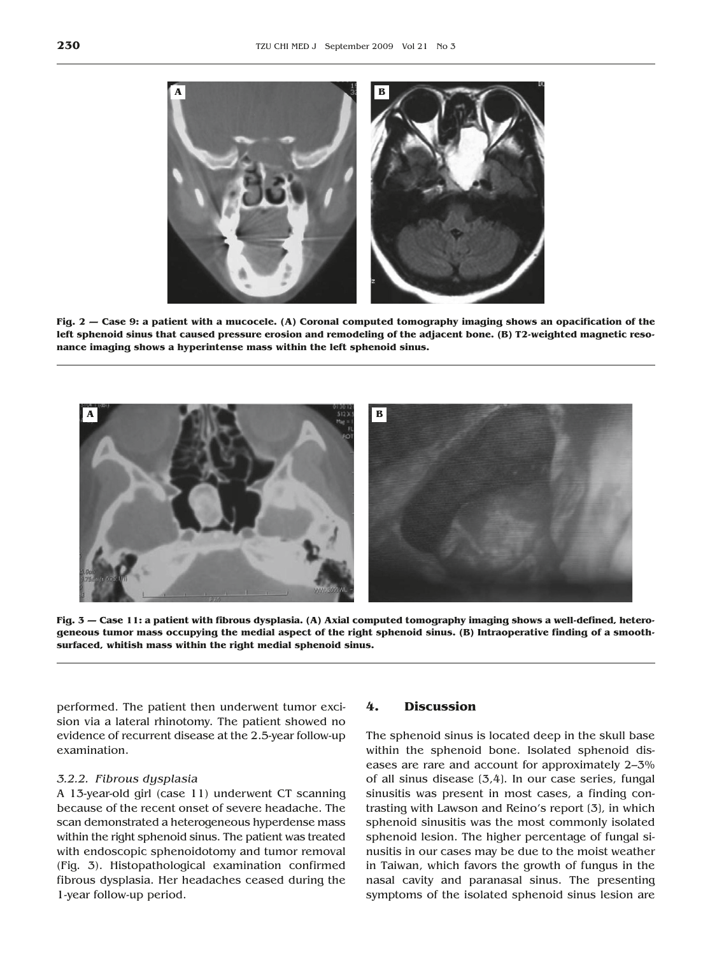

**Fig. 2 — Case 9: a patient with a mucocele. (A) Coronal computed tomography imaging shows an opacification of the left sphenoid sinus that caused pressure erosion and remodeling of the adjacent bone. (B) T2-weighted magnetic resonance imaging shows a hyperintense mass within the left sphenoid sinus.**



**Fig. 3 — Case 11: a patient with fibrous dysplasia. (A) Axial computed tomography imaging shows a well-defined, heterogeneous tumor mass occupying the medial aspect of the right sphenoid sinus. (B) Intraoperative finding of a smoothsurfaced, whitish mass within the right medial sphenoid sinus.**

performed. The patient then underwent tumor excision via a lateral rhinotomy. The patient showed no evidence of recurrent disease at the 2.5-year follow-up examination.

#### *3.2.2. Fibrous dysplasia*

A 13-year-old girl (case 11) underwent CT scanning because of the recent onset of severe headache. The scan demonstrated a heterogeneous hyperdense mass within the right sphenoid sinus. The patient was treated with endoscopic sphenoidotomy and tumor removal (Fig. 3). Histopathological examination confirmed fibrous dysplasia. Her headaches ceased during the 1-year follow-up period.

## **4. Discussion**

The sphenoid sinus is located deep in the skull base within the sphenoid bone. Isolated sphenoid diseases are rare and account for approximately 2–3% of all sinus disease [3,4]. In our case series, fungal sinusitis was present in most cases, a finding contrasting with Lawson and Reino's report [3], in which sphenoid sinusitis was the most commonly isolated sphenoid lesion. The higher percentage of fungal sinusitis in our cases may be due to the moist weather in Taiwan, which favors the growth of fungus in the nasal cavity and paranasal sinus. The presenting symptoms of the isolated sphenoid sinus lesion are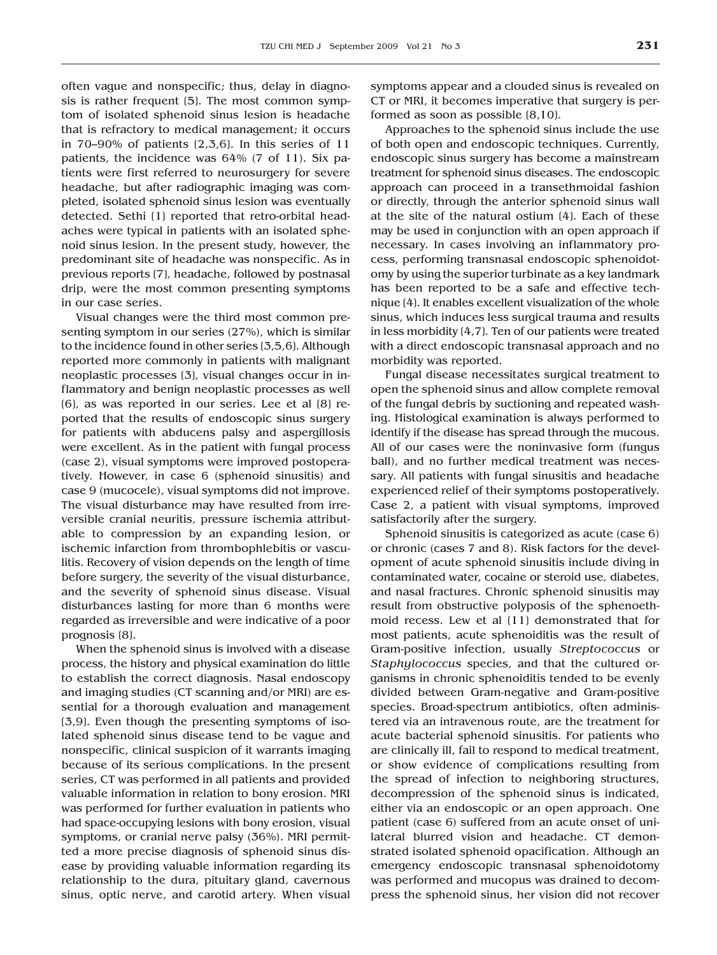often vague and nonspecific; thus, delay in diagnosis is rather frequent [5]. The most common symptom of isolated sphenoid sinus lesion is headache that is refractory to medical management; it occurs in 70–90% of patients  $(2,3,6)$ . In this series of 11 patients, the incidence was 64% (7 of 11). Six patients were first referred to neurosurgery for severe headache, but after radiographic imaging was completed, isolated sphenoid sinus lesion was eventually detected. Sethi [1] reported that retro-orbital headaches were typical in patients with an isolated sphenoid sinus lesion. In the present study, however, the predominant site of headache was nonspecific. As in previous reports [7], headache, followed by postnasal drip, were the most common presenting symptoms in our case series.

Visual changes were the third most common presenting symptom in our series (27%), which is similar to the incidence found in other series [3,5,6]. Although reported more commonly in patients with malignant neoplastic processes [3], visual changes occur in inflammatory and benign neoplastic processes as well [6], as was reported in our series. Lee et al [8] reported that the results of endoscopic sinus surgery for patients with abducens palsy and aspergillosis were excellent. As in the patient with fungal process (case 2), visual symptoms were improved postoperatively. However, in case 6 (sphenoid sinusitis) and case 9 (mucocele), visual symptoms did not improve. The visual disturbance may have resulted from irreversible cranial neuritis, pressure ischemia attributable to compression by an expanding lesion, or ischemic infarction from thrombophlebitis or vasculitis. Recovery of vision depends on the length of time before surgery, the severity of the visual disturbance, and the severity of sphenoid sinus disease. Visual disturbances lasting for more than 6 months were regarded as irreversible and were indicative of a poor prognosis [8].

When the sphenoid sinus is involved with a disease process, the history and physical examination do little to establish the correct diagnosis. Nasal endoscopy and imaging studies (CT scanning and/or MRI) are essential for a thorough evaluation and management [3,9]. Even though the presenting symptoms of isolated sphenoid sinus disease tend to be vague and nonspecific, clinical suspicion of it warrants imaging because of its serious complications. In the present series, CT was performed in all patients and provided valuable information in relation to bony erosion. MRI was performed for further evaluation in patients who had space-occupying lesions with bony erosion, visual symptoms, or cranial nerve palsy (36%). MRI permitted a more precise diagnosis of sphenoid sinus disease by providing valuable information regarding its relationship to the dura, pituitary gland, cavernous sinus, optic nerve, and carotid artery. When visual symptoms appear and a clouded sinus is revealed on CT or MRI, it becomes imperative that surgery is performed as soon as possible [8,10].

Approaches to the sphenoid sinus include the use of both open and endoscopic techniques. Currently, endoscopic sinus surgery has become a mainstream treatment for sphenoid sinus diseases. The endoscopic approach can proceed in a transethmoidal fashion or directly, through the anterior sphenoid sinus wall at the site of the natural ostium [4]. Each of these may be used in conjunction with an open approach if necessary. In cases involving an inflammatory process, performing transnasal endoscopic sphenoidotomy by using the superior turbinate as a key landmark has been reported to be a safe and effective technique [4]. It enables excellent visualization of the whole sinus, which induces less surgical trauma and results in less morbidity [4,7]. Ten of our patients were treated with a direct endoscopic transnasal approach and no morbidity was reported.

Fungal disease necessitates surgical treatment to open the sphenoid sinus and allow complete removal of the fungal debris by suctioning and repeated washing. Histological examination is always performed to identify if the disease has spread through the mucous. All of our cases were the noninvasive form (fungus ball), and no further medical treatment was necessary. All patients with fungal sinusitis and headache experienced relief of their symptoms postoperatively. Case 2, a patient with visual symptoms, improved satisfactorily after the surgery.

Sphenoid sinusitis is categorized as acute (case 6) or chronic (cases 7 and 8). Risk factors for the development of acute sphenoid sinusitis include diving in contaminated water, cocaine or steroid use, diabetes, and nasal fractures. Chronic sphenoid sinusitis may result from obstructive polyposis of the sphenoethmoid recess. Lew et al [11] demonstrated that for most patients, acute sphenoiditis was the result of Gram-positive infection, usually *Streptococcus* or *Staphylococcus* species, and that the cultured organisms in chronic sphenoiditis tended to be evenly divided between Gram-negative and Gram-positive species. Broad-spectrum antibiotics, often administered via an intravenous route, are the treatment for acute bacterial sphenoid sinusitis. For patients who are clinically ill, fail to respond to medical treatment, or show evidence of complications resulting from the spread of infection to neighboring structures, decompression of the sphenoid sinus is indicated, either via an endoscopic or an open approach. One patient (case 6) suffered from an acute onset of unilateral blurred vision and headache. CT demonstrated isolated sphenoid opacification. Although an emergency endoscopic transnasal sphenoidotomy was performed and mucopus was drained to decompress the sphenoid sinus, her vision did not recover